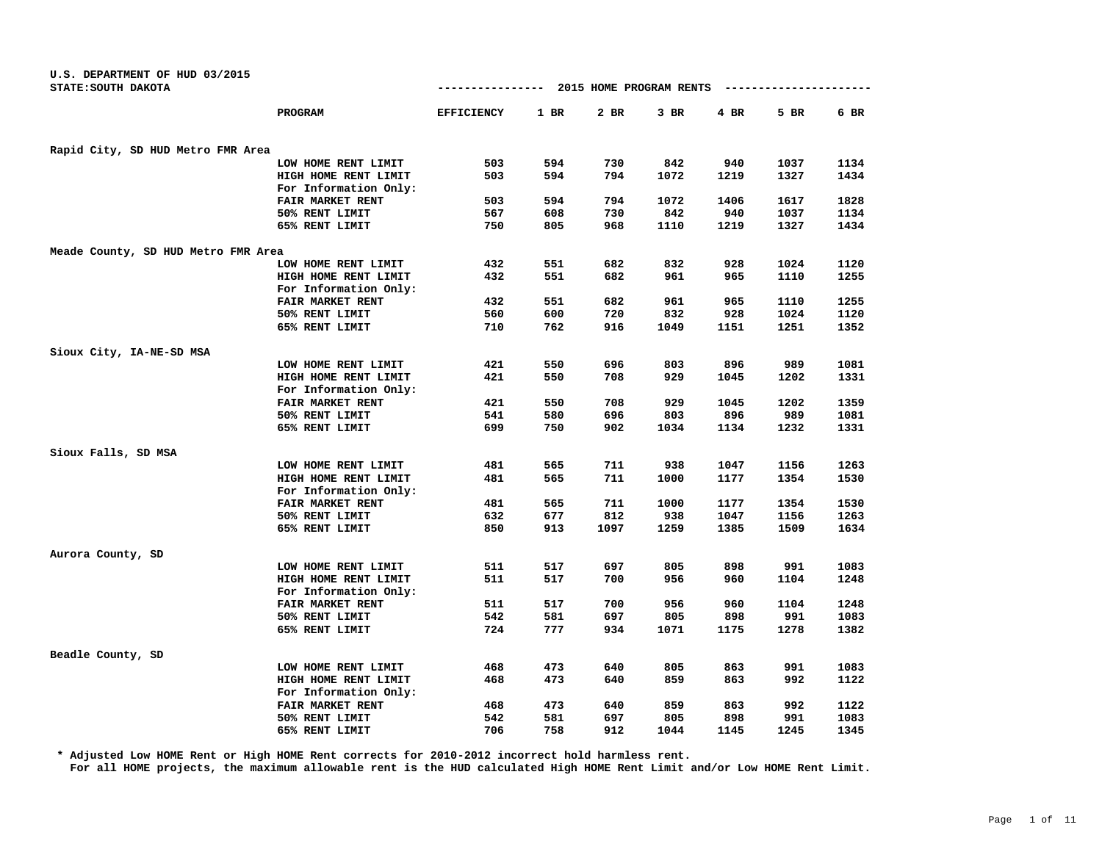| U.S. DEPARTMENT OF HUD 03/2015<br>STATE: SOUTH DAKOTA |                         | 2015 HOME PROGRAM RENTS<br>----------------<br>-------------- |        |      |        |        |      |      |
|-------------------------------------------------------|-------------------------|---------------------------------------------------------------|--------|------|--------|--------|------|------|
|                                                       | PROGRAM                 | <b>EFFICIENCY</b>                                             | $1$ BR | 2 BR | $3$ BR | $4$ BR | 5 BR | 6 BR |
| Rapid City, SD HUD Metro FMR Area                     |                         |                                                               |        |      |        |        |      |      |
|                                                       | LOW HOME RENT LIMIT     | 503                                                           | 594    | 730  | 842    | 940    | 1037 | 1134 |
|                                                       | HIGH HOME RENT LIMIT    | 503                                                           | 594    | 794  | 1072   | 1219   | 1327 | 1434 |
|                                                       | For Information Only:   |                                                               |        |      |        |        |      |      |
|                                                       | FAIR MARKET RENT        | 503                                                           | 594    | 794  | 1072   | 1406   | 1617 | 1828 |
|                                                       | 50% RENT LIMIT          | 567                                                           | 608    | 730  | 842    | 940    | 1037 | 1134 |
|                                                       | 65% RENT LIMIT          | 750                                                           | 805    | 968  | 1110   | 1219   | 1327 | 1434 |
| Meade County, SD HUD Metro FMR Area                   |                         |                                                               |        |      |        |        |      |      |
|                                                       | LOW HOME RENT LIMIT     | 432                                                           | 551    | 682  | 832    | 928    | 1024 | 1120 |
|                                                       | HIGH HOME RENT LIMIT    | 432                                                           | 551    | 682  | 961    | 965    | 1110 | 1255 |
|                                                       | For Information Only:   |                                                               |        |      |        |        |      |      |
|                                                       | FAIR MARKET RENT        | 432                                                           | 551    | 682  | 961    | 965    | 1110 | 1255 |
|                                                       | 50% RENT LIMIT          | 560                                                           | 600    | 720  | 832    | 928    | 1024 | 1120 |
|                                                       | 65% RENT LIMIT          | 710                                                           | 762    | 916  | 1049   | 1151   | 1251 | 1352 |
| Sioux City, IA-NE-SD MSA                              |                         |                                                               |        |      |        |        |      |      |
|                                                       | LOW HOME RENT LIMIT     | 421                                                           | 550    | 696  | 803    | 896    | 989  | 1081 |
|                                                       | HIGH HOME RENT LIMIT    | 421                                                           | 550    | 708  | 929    | 1045   | 1202 | 1331 |
|                                                       | For Information Only:   |                                                               |        |      |        |        |      |      |
|                                                       | <b>FAIR MARKET RENT</b> | 421                                                           | 550    | 708  | 929    | 1045   | 1202 | 1359 |
|                                                       | 50% RENT LIMIT          | 541                                                           | 580    | 696  | 803    | 896    | 989  | 1081 |
|                                                       | 65% RENT LIMIT          | 699                                                           | 750    | 902  | 1034   | 1134   | 1232 | 1331 |
| Sioux Falls, SD MSA                                   |                         |                                                               |        |      |        |        |      |      |
|                                                       | LOW HOME RENT LIMIT     | 481                                                           | 565    | 711  | 938    | 1047   | 1156 | 1263 |
|                                                       | HIGH HOME RENT LIMIT    | 481                                                           | 565    | 711  | 1000   | 1177   | 1354 | 1530 |
|                                                       | For Information Only:   |                                                               |        |      |        |        |      |      |
|                                                       | FAIR MARKET RENT        | 481                                                           | 565    | 711  | 1000   | 1177   | 1354 | 1530 |
|                                                       | 50% RENT LIMIT          | 632                                                           | 677    | 812  | 938    | 1047   | 1156 | 1263 |
|                                                       | 65% RENT LIMIT          | 850                                                           | 913    | 1097 | 1259   | 1385   | 1509 | 1634 |
| Aurora County, SD                                     |                         |                                                               |        |      |        |        |      |      |
|                                                       | LOW HOME RENT LIMIT     | 511                                                           | 517    | 697  | 805    | 898    | 991  | 1083 |
|                                                       | HIGH HOME RENT LIMIT    | 511                                                           | 517    | 700  | 956    | 960    | 1104 | 1248 |
|                                                       | For Information Only:   |                                                               |        |      |        |        |      |      |
|                                                       | FAIR MARKET RENT        | 511                                                           | 517    | 700  | 956    | 960    | 1104 | 1248 |
|                                                       | 50% RENT LIMIT          | 542                                                           | 581    | 697  | 805    | 898    | 991  | 1083 |
|                                                       | 65% RENT LIMIT          | 724                                                           | 777    | 934  | 1071   | 1175   | 1278 | 1382 |
| Beadle County, SD                                     |                         |                                                               |        |      |        |        |      |      |
|                                                       | LOW HOME RENT LIMIT     | 468                                                           | 473    | 640  | 805    | 863    | 991  | 1083 |
|                                                       | HIGH HOME RENT LIMIT    | 468                                                           | 473    | 640  | 859    | 863    | 992  | 1122 |
|                                                       | For Information Only:   |                                                               |        |      |        |        |      |      |
|                                                       | FAIR MARKET RENT        | 468                                                           | 473    | 640  | 859    | 863    | 992  | 1122 |
|                                                       | 50% RENT LIMIT          | 542                                                           | 581    | 697  | 805    | 898    | 991  | 1083 |
|                                                       | 65% RENT LIMIT          | 706                                                           | 758    | 912  | 1044   | 1145   | 1245 | 1345 |

**\* Adjusted Low HOME Rent or High HOME Rent corrects for 2010-2012 incorrect hold harmless rent.**

**For all HOME projects, the maximum allowable rent is the HUD calculated High HOME Rent Limit and/or Low HOME Rent Limit.**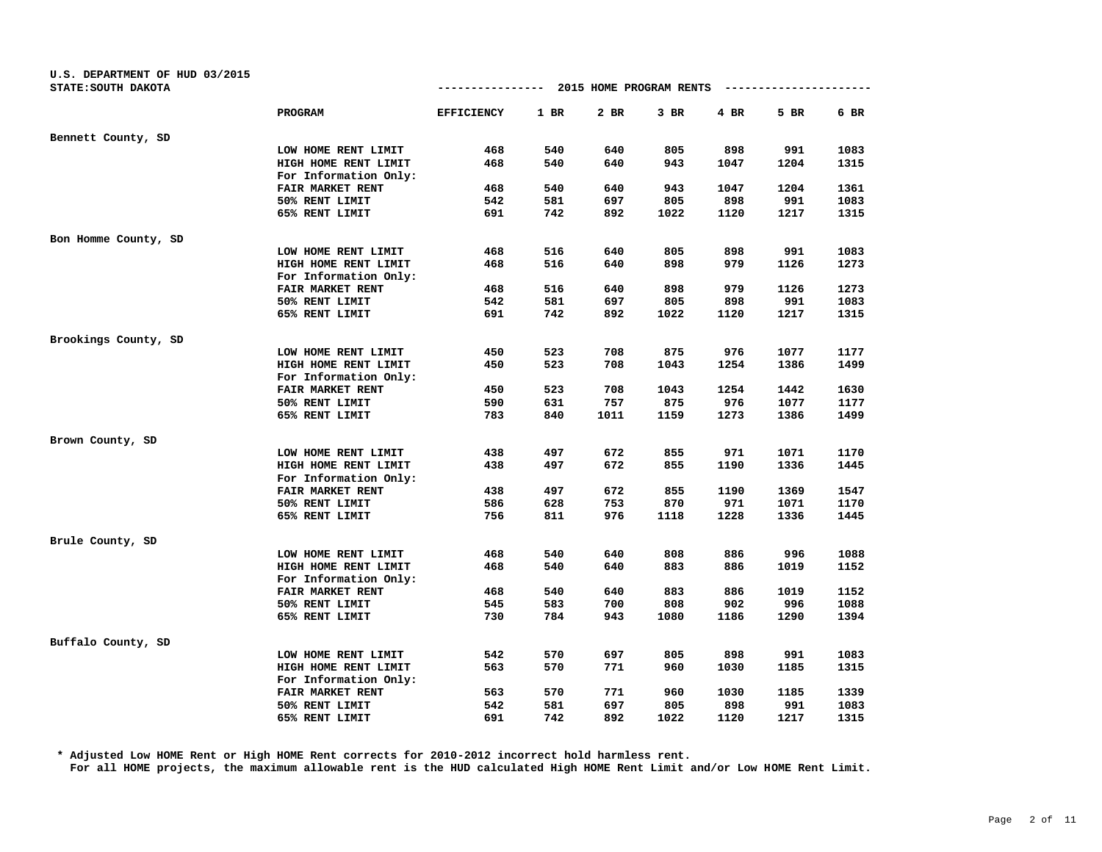| U.S. DEPARTMENT OF HUD 03/2015 |                         | ------------- 2015 HOME PROGRAM RENTS |        |        |        |        |      |      |
|--------------------------------|-------------------------|---------------------------------------|--------|--------|--------|--------|------|------|
| STATE: SOUTH DAKOTA            |                         |                                       |        |        |        |        |      |      |
|                                | PROGRAM                 | <b>EFFICIENCY</b>                     | $1$ BR | $2$ BR | $3$ BR | $4$ BR | 5 BR | 6 BR |
| Bennett County, SD             |                         |                                       |        |        |        |        |      |      |
|                                | LOW HOME RENT LIMIT     | 468                                   | 540    | 640    | 805    | 898    | 991  | 1083 |
|                                | HIGH HOME RENT LIMIT    | 468                                   | 540    | 640    | 943    | 1047   | 1204 | 1315 |
|                                | For Information Only:   |                                       |        |        |        |        |      |      |
|                                | FAIR MARKET RENT        | 468                                   | 540    | 640    | 943    | 1047   | 1204 | 1361 |
|                                | 50% RENT LIMIT          | 542                                   | 581    | 697    | 805    | 898    | 991  | 1083 |
|                                | 65% RENT LIMIT          | 691                                   | 742    | 892    | 1022   | 1120   | 1217 | 1315 |
| Bon Homme County, SD           |                         |                                       |        |        |        |        |      |      |
|                                | LOW HOME RENT LIMIT     | 468                                   | 516    | 640    | 805    | 898    | 991  | 1083 |
|                                | HIGH HOME RENT LIMIT    | 468                                   | 516    | 640    | 898    | 979    | 1126 | 1273 |
|                                | For Information Only:   |                                       |        |        |        |        |      |      |
|                                | <b>FAIR MARKET RENT</b> | 468                                   | 516    | 640    | 898    | 979    | 1126 | 1273 |
|                                | 50% RENT LIMIT          | 542                                   | 581    | 697    | 805    | 898    | 991  | 1083 |
|                                | 65% RENT LIMIT          | 691                                   | 742    | 892    | 1022   | 1120   | 1217 | 1315 |
| Brookings County, SD           |                         |                                       |        |        |        |        |      |      |
|                                | LOW HOME RENT LIMIT     | 450                                   | 523    | 708    | 875    | 976    | 1077 | 1177 |
|                                | HIGH HOME RENT LIMIT    | 450                                   | 523    | 708    | 1043   | 1254   | 1386 | 1499 |
|                                | For Information Only:   |                                       |        |        |        |        |      |      |
|                                | FAIR MARKET RENT        | 450                                   | 523    | 708    | 1043   | 1254   | 1442 | 1630 |
|                                | 50% RENT LIMIT          | 590                                   | 631    | 757    | 875    | 976    | 1077 | 1177 |
|                                | 65% RENT LIMIT          | 783                                   | 840    | 1011   | 1159   | 1273   | 1386 | 1499 |
| Brown County, SD               |                         |                                       |        |        |        |        |      |      |
|                                | LOW HOME RENT LIMIT     | 438                                   | 497    | 672    | 855    | 971    | 1071 | 1170 |
|                                | HIGH HOME RENT LIMIT    | 438                                   | 497    | 672    | 855    | 1190   | 1336 | 1445 |
|                                | For Information Only:   |                                       |        |        |        |        |      |      |
|                                | FAIR MARKET RENT        | 438                                   | 497    | 672    | 855    | 1190   | 1369 | 1547 |
|                                | 50% RENT LIMIT          | 586                                   | 628    | 753    | 870    | 971    | 1071 | 1170 |
|                                | 65% RENT LIMIT          | 756                                   | 811    | 976    | 1118   | 1228   | 1336 | 1445 |
| Brule County, SD               |                         |                                       |        |        |        |        |      |      |
|                                | LOW HOME RENT LIMIT     | 468                                   | 540    | 640    | 808    | 886    | 996  | 1088 |
|                                | HIGH HOME RENT LIMIT    | 468                                   | 540    | 640    | 883    | 886    | 1019 | 1152 |
|                                | For Information Only:   |                                       |        |        |        |        |      |      |
|                                | FAIR MARKET RENT        | 468                                   | 540    | 640    | 883    | 886    | 1019 | 1152 |
|                                | 50% RENT LIMIT          | 545                                   | 583    | 700    | 808    | 902    | 996  | 1088 |
|                                | 65% RENT LIMIT          | 730                                   | 784    | 943    | 1080   | 1186   | 1290 | 1394 |
| Buffalo County, SD             |                         |                                       |        |        |        |        |      |      |
|                                | LOW HOME RENT LIMIT     | 542                                   | 570    | 697    | 805    | 898    | 991  | 1083 |
|                                | HIGH HOME RENT LIMIT    | 563                                   | 570    | 771    | 960    | 1030   | 1185 | 1315 |
|                                | For Information Only:   |                                       |        |        |        |        |      |      |
|                                | FAIR MARKET RENT        | 563                                   | 570    | 771    | 960    | 1030   | 1185 | 1339 |
|                                | 50% RENT LIMIT          | 542                                   | 581    | 697    | 805    | 898    | 991  | 1083 |
|                                | 65% RENT LIMIT          | 691                                   | 742    | 892    | 1022   | 1120   | 1217 | 1315 |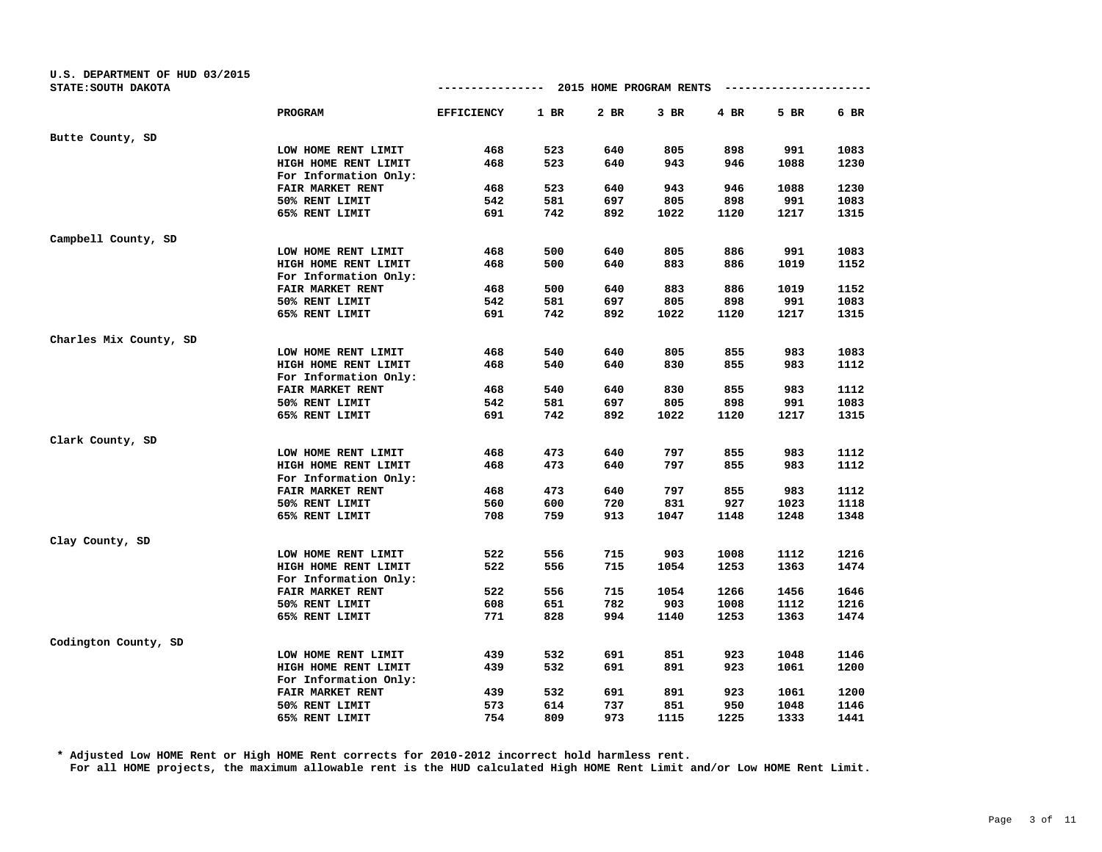| U.S. DEPARTMENT OF HUD 03/2015<br>STATE: SOUTH DAKOTA |                                               | -------------     |        | 2015 HOME PROGRAM RENTS |        |      |      |      |
|-------------------------------------------------------|-----------------------------------------------|-------------------|--------|-------------------------|--------|------|------|------|
|                                                       | <b>PROGRAM</b>                                | <b>EFFICIENCY</b> | $1$ BR | 2 BR                    | $3$ BR | 4 BR | 5 BR | 6 BR |
| Butte County, SD                                      |                                               |                   |        |                         |        |      |      |      |
|                                                       | LOW HOME RENT LIMIT                           | 468               | 523    | 640                     | 805    | 898  | 991  | 1083 |
|                                                       | HIGH HOME RENT LIMIT                          | 468               | 523    | 640                     | 943    | 946  | 1088 | 1230 |
|                                                       | For Information Only:                         |                   |        |                         |        |      |      |      |
|                                                       | FAIR MARKET RENT                              | 468               | 523    | 640                     | 943    | 946  | 1088 | 1230 |
|                                                       | 50% RENT LIMIT                                | 542               | 581    | 697                     | 805    | 898  | 991  | 1083 |
|                                                       | 65% RENT LIMIT                                | 691               | 742    | 892                     | 1022   | 1120 | 1217 | 1315 |
| Campbell County, SD                                   |                                               |                   |        |                         |        |      |      |      |
|                                                       | LOW HOME RENT LIMIT                           | 468               | 500    | 640                     | 805    | 886  | 991  | 1083 |
|                                                       | HIGH HOME RENT LIMIT                          | 468               | 500    | 640                     | 883    | 886  | 1019 | 1152 |
|                                                       | For Information Only:                         |                   |        |                         |        |      |      |      |
|                                                       | FAIR MARKET RENT                              | 468               | 500    | 640                     | 883    | 886  | 1019 | 1152 |
|                                                       | 50% RENT LIMIT                                | 542               | 581    | 697                     | 805    | 898  | 991  | 1083 |
|                                                       | 65% RENT LIMIT                                | 691               | 742    | 892                     | 1022   | 1120 | 1217 | 1315 |
| Charles Mix County, SD                                |                                               |                   |        |                         |        |      |      |      |
|                                                       | LOW HOME RENT LIMIT                           | 468               | 540    | 640                     | 805    | 855  | 983  | 1083 |
|                                                       | HIGH HOME RENT LIMIT                          | 468               | 540    | 640                     | 830    | 855  | 983  | 1112 |
|                                                       | For Information Only:                         |                   |        |                         |        |      |      |      |
|                                                       | FAIR MARKET RENT                              | 468               | 540    | 640                     | 830    | 855  | 983  | 1112 |
|                                                       | 50% RENT LIMIT                                | 542               | 581    | 697                     | 805    | 898  | 991  | 1083 |
|                                                       | 65% RENT LIMIT                                | 691               | 742    | 892                     | 1022   | 1120 | 1217 | 1315 |
| Clark County, SD                                      |                                               |                   |        |                         |        |      |      |      |
|                                                       | LOW HOME RENT LIMIT                           | 468               | 473    | 640                     | 797    | 855  | 983  | 1112 |
|                                                       | HIGH HOME RENT LIMIT<br>For Information Only: | 468               | 473    | 640                     | 797    | 855  | 983  | 1112 |
|                                                       | FAIR MARKET RENT                              | 468               | 473    | 640                     | 797    | 855  | 983  | 1112 |
|                                                       | 50% RENT LIMIT                                | 560               | 600    | 720                     | 831    | 927  | 1023 | 1118 |
|                                                       | 65% RENT LIMIT                                | 708               | 759    | 913                     | 1047   | 1148 | 1248 | 1348 |
| Clay County, SD                                       |                                               |                   |        |                         |        |      |      |      |
|                                                       | LOW HOME RENT LIMIT                           | 522               | 556    | 715                     | 903    | 1008 | 1112 | 1216 |
|                                                       | HIGH HOME RENT LIMIT                          | 522               | 556    | 715                     | 1054   | 1253 | 1363 | 1474 |
|                                                       | For Information Only:                         |                   |        |                         |        |      |      |      |
|                                                       | FAIR MARKET RENT                              | 522               | 556    | 715                     | 1054   | 1266 | 1456 | 1646 |
|                                                       | 50% RENT LIMIT                                | 608               | 651    | 782                     | 903    | 1008 | 1112 | 1216 |
|                                                       | 65% RENT LIMIT                                | 771               | 828    | 994                     | 1140   | 1253 | 1363 | 1474 |
| Codington County, SD                                  |                                               |                   |        |                         |        |      |      |      |
|                                                       | LOW HOME RENT LIMIT                           | 439               | 532    | 691                     | 851    | 923  | 1048 | 1146 |
|                                                       | HIGH HOME RENT LIMIT                          | 439               | 532    | 691                     | 891    | 923  | 1061 | 1200 |
|                                                       | For Information Only:                         |                   |        |                         |        |      |      |      |
|                                                       | FAIR MARKET RENT                              | 439               | 532    | 691                     | 891    | 923  | 1061 | 1200 |
|                                                       | 50% RENT LIMIT                                | 573               | 614    | 737                     | 851    | 950  | 1048 | 1146 |
|                                                       | 65% RENT LIMIT                                | 754               | 809    | 973                     | 1115   | 1225 | 1333 | 1441 |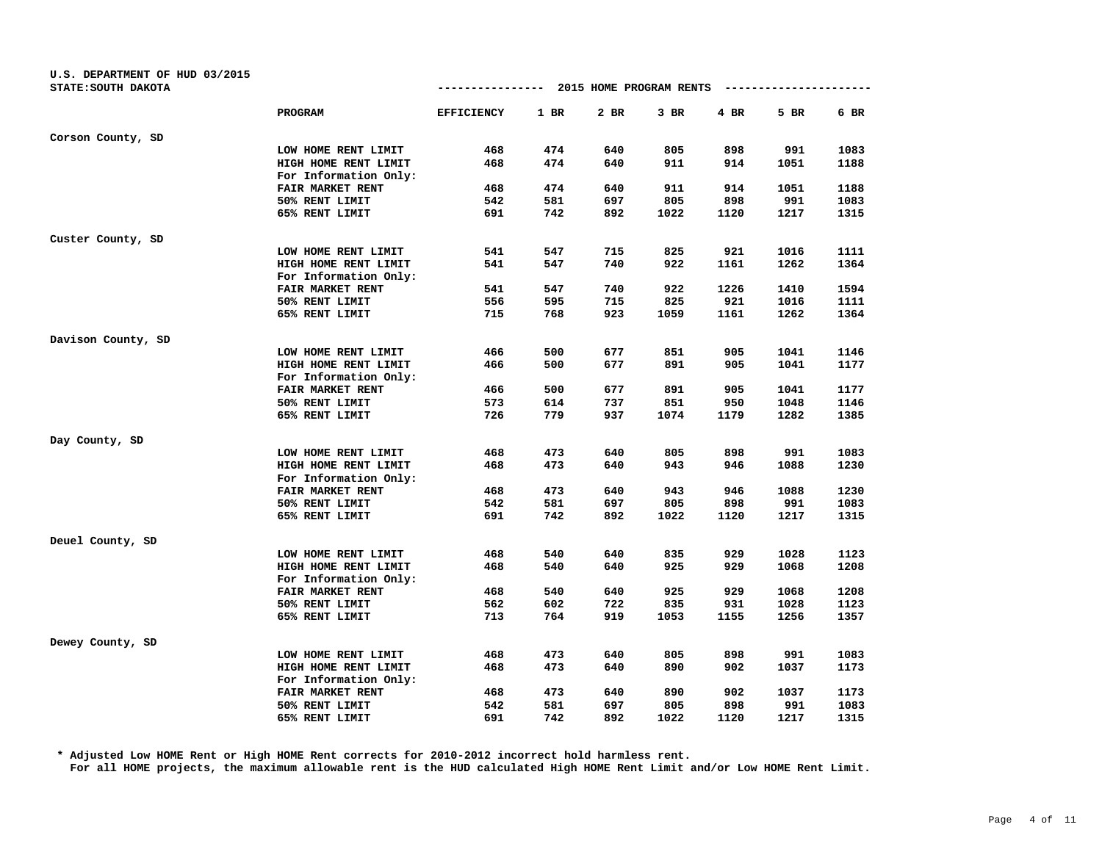| U.S. DEPARTMENT OF HUD 03/2015<br>STATE: SOUTH DAKOTA |                                               |                   |        | ------------- 2015 HOME PROGRAM RENTS |        |      |      |      |
|-------------------------------------------------------|-----------------------------------------------|-------------------|--------|---------------------------------------|--------|------|------|------|
|                                                       | <b>PROGRAM</b>                                | <b>EFFICIENCY</b> | $1$ BR | 2 BR                                  | $3$ BR | 4 BR | 5 BR | 6 BR |
| Corson County, SD                                     |                                               |                   |        |                                       |        |      |      |      |
|                                                       | LOW HOME RENT LIMIT                           | 468               | 474    | 640                                   | 805    | 898  | 991  | 1083 |
|                                                       | HIGH HOME RENT LIMIT                          | 468               | 474    | 640                                   | 911    | 914  | 1051 | 1188 |
|                                                       | For Information Only:                         |                   |        |                                       |        |      |      |      |
|                                                       | FAIR MARKET RENT                              | 468               | 474    | 640                                   | 911    | 914  | 1051 | 1188 |
|                                                       | 50% RENT LIMIT                                | 542               | 581    | 697                                   | 805    | 898  | 991  | 1083 |
|                                                       | 65% RENT LIMIT                                | 691               | 742    | 892                                   | 1022   | 1120 | 1217 | 1315 |
| Custer County, SD                                     |                                               |                   |        |                                       |        |      |      |      |
|                                                       | LOW HOME RENT LIMIT                           | 541               | 547    | 715                                   | 825    | 921  | 1016 | 1111 |
|                                                       | HIGH HOME RENT LIMIT                          | 541               | 547    | 740                                   | 922    | 1161 | 1262 | 1364 |
|                                                       | For Information Only:                         |                   |        |                                       |        |      |      |      |
|                                                       | FAIR MARKET RENT                              | 541               | 547    | 740                                   | 922    | 1226 | 1410 | 1594 |
|                                                       | 50% RENT LIMIT                                | 556               | 595    | 715                                   | 825    | 921  | 1016 | 1111 |
|                                                       | 65% RENT LIMIT                                | 715               | 768    | 923                                   | 1059   | 1161 | 1262 | 1364 |
| Davison County, SD                                    |                                               |                   |        |                                       |        |      |      |      |
|                                                       | LOW HOME RENT LIMIT                           | 466               | 500    | 677                                   | 851    | 905  | 1041 | 1146 |
|                                                       | HIGH HOME RENT LIMIT                          | 466               | 500    | 677                                   | 891    | 905  | 1041 | 1177 |
|                                                       | For Information Only:                         |                   |        |                                       |        |      |      |      |
|                                                       | FAIR MARKET RENT                              | 466               | 500    | 677                                   | 891    | 905  | 1041 | 1177 |
|                                                       | 50% RENT LIMIT                                | 573               | 614    | 737                                   | 851    | 950  | 1048 | 1146 |
|                                                       | 65% RENT LIMIT                                | 726               | 779    | 937                                   | 1074   | 1179 | 1282 | 1385 |
| Day County, SD                                        |                                               |                   |        |                                       |        |      |      |      |
|                                                       | LOW HOME RENT LIMIT                           | 468               | 473    | 640                                   | 805    | 898  | 991  | 1083 |
|                                                       | HIGH HOME RENT LIMIT<br>For Information Only: | 468               | 473    | 640                                   | 943    | 946  | 1088 | 1230 |
|                                                       | FAIR MARKET RENT                              | 468               | 473    | 640                                   | 943    | 946  | 1088 | 1230 |
|                                                       | 50% RENT LIMIT                                | 542               | 581    | 697                                   | 805    | 898  | 991  | 1083 |
|                                                       | 65% RENT LIMIT                                | 691               | 742    | 892                                   | 1022   | 1120 | 1217 | 1315 |
| Deuel County, SD                                      |                                               |                   |        |                                       |        |      |      |      |
|                                                       | LOW HOME RENT LIMIT                           | 468               | 540    | 640                                   | 835    | 929  | 1028 | 1123 |
|                                                       | HIGH HOME RENT LIMIT                          | 468               | 540    | 640                                   | 925    | 929  | 1068 | 1208 |
|                                                       | For Information Only:                         |                   |        |                                       |        |      |      |      |
|                                                       | FAIR MARKET RENT                              | 468               | 540    | 640                                   | 925    | 929  | 1068 | 1208 |
|                                                       | 50% RENT LIMIT                                | 562               | 602    | 722                                   | 835    | 931  | 1028 | 1123 |
|                                                       | 65% RENT LIMIT                                | 713               | 764    | 919                                   | 1053   | 1155 | 1256 | 1357 |
| Dewey County, SD                                      |                                               |                   |        |                                       |        |      |      |      |
|                                                       | LOW HOME RENT LIMIT                           | 468               | 473    | 640                                   | 805    | 898  | 991  | 1083 |
|                                                       | HIGH HOME RENT LIMIT                          | 468               | 473    | 640                                   | 890    | 902  | 1037 | 1173 |
|                                                       | For Information Only:                         |                   |        |                                       |        |      |      |      |
|                                                       | FAIR MARKET RENT                              | 468               | 473    | 640                                   | 890    | 902  | 1037 | 1173 |
|                                                       | 50% RENT LIMIT                                | 542               | 581    | 697                                   | 805    | 898  | 991  | 1083 |
|                                                       | 65% RENT LIMIT                                | 691               | 742    | 892                                   | 1022   | 1120 | 1217 | 1315 |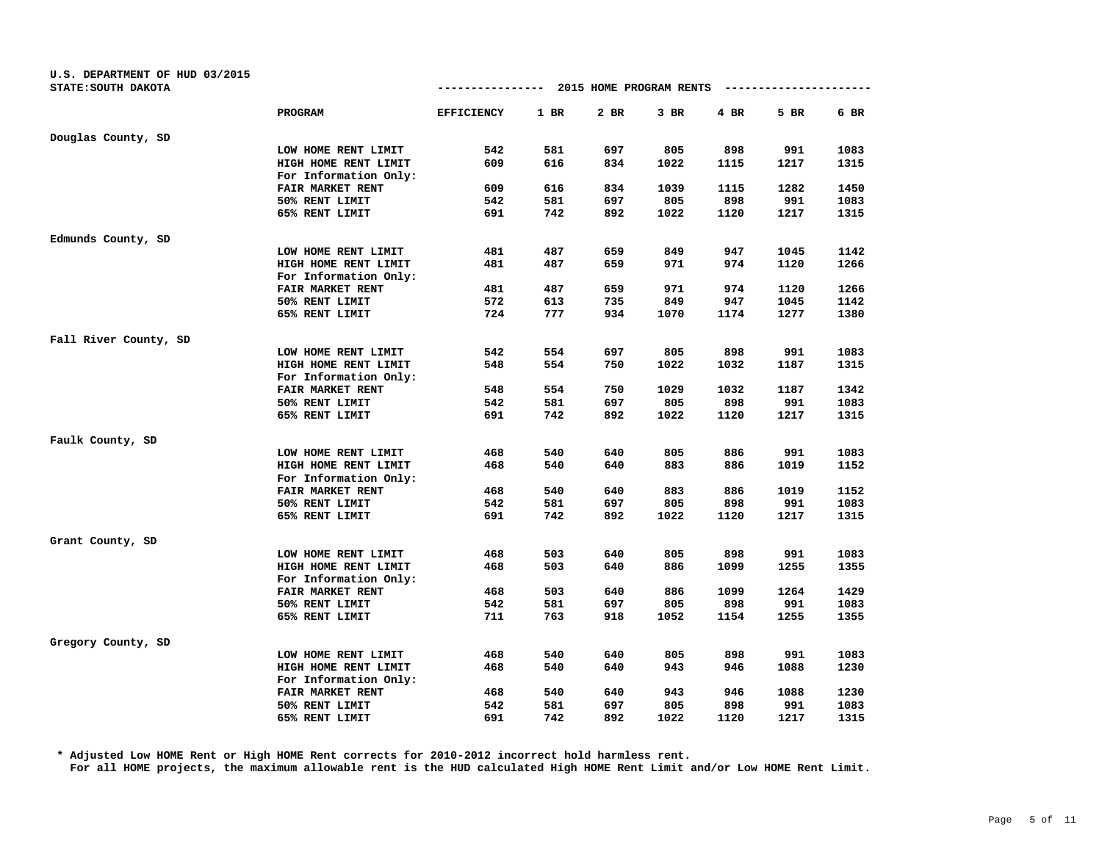| U.S. DEPARTMENT OF HUD 03/2015<br>STATE: SOUTH DAKOTA |                                               | ------------- 2015 HOME PROGRAM RENTS |        |        |        |      |      |      |
|-------------------------------------------------------|-----------------------------------------------|---------------------------------------|--------|--------|--------|------|------|------|
|                                                       | <b>PROGRAM</b>                                | <b>EFFICIENCY</b>                     | $1$ BR | $2$ BR | $3$ BR | 4 BR | 5 BR | 6 BR |
| Douglas County, SD                                    |                                               |                                       |        |        |        |      |      |      |
|                                                       | LOW HOME RENT LIMIT                           | 542                                   | 581    | 697    | 805    | 898  | 991  | 1083 |
|                                                       | HIGH HOME RENT LIMIT                          | 609                                   | 616    | 834    | 1022   | 1115 | 1217 | 1315 |
|                                                       | For Information Only:                         |                                       |        |        |        |      |      |      |
|                                                       | FAIR MARKET RENT                              | 609                                   | 616    | 834    | 1039   | 1115 | 1282 | 1450 |
|                                                       | 50% RENT LIMIT                                | 542                                   | 581    | 697    | 805    | 898  | 991  | 1083 |
|                                                       | 65% RENT LIMIT                                | 691                                   | 742    | 892    | 1022   | 1120 | 1217 | 1315 |
| Edmunds County, SD                                    |                                               |                                       |        |        |        |      |      |      |
|                                                       | LOW HOME RENT LIMIT                           | 481                                   | 487    | 659    | 849    | 947  | 1045 | 1142 |
|                                                       | HIGH HOME RENT LIMIT                          | 481                                   | 487    | 659    | 971    | 974  | 1120 | 1266 |
|                                                       | For Information Only:                         |                                       |        |        |        |      |      |      |
|                                                       | FAIR MARKET RENT                              | 481                                   | 487    | 659    | 971    | 974  | 1120 | 1266 |
|                                                       | 50% RENT LIMIT                                | 572                                   | 613    | 735    | 849    | 947  | 1045 | 1142 |
|                                                       | 65% RENT LIMIT                                | 724                                   | 777    | 934    | 1070   | 1174 | 1277 | 1380 |
| Fall River County, SD                                 |                                               |                                       |        |        |        |      |      |      |
|                                                       | LOW HOME RENT LIMIT                           | 542                                   | 554    | 697    | 805    | 898  | 991  | 1083 |
|                                                       | HIGH HOME RENT LIMIT                          | 548                                   | 554    | 750    | 1022   | 1032 | 1187 | 1315 |
|                                                       | For Information Only:                         |                                       |        |        |        |      |      |      |
|                                                       | FAIR MARKET RENT                              | 548                                   | 554    | 750    | 1029   | 1032 | 1187 | 1342 |
|                                                       | 50% RENT LIMIT                                | 542                                   | 581    | 697    | 805    | 898  | 991  | 1083 |
|                                                       | 65% RENT LIMIT                                | 691                                   | 742    | 892    | 1022   | 1120 | 1217 | 1315 |
| Faulk County, SD                                      |                                               |                                       |        |        |        |      |      |      |
|                                                       | LOW HOME RENT LIMIT                           | 468                                   | 540    | 640    | 805    | 886  | 991  | 1083 |
|                                                       | HIGH HOME RENT LIMIT<br>For Information Only: | 468                                   | 540    | 640    | 883    | 886  | 1019 | 1152 |
|                                                       | FAIR MARKET RENT                              | 468                                   | 540    | 640    | 883    | 886  | 1019 | 1152 |
|                                                       | 50% RENT LIMIT                                | 542                                   | 581    | 697    | 805    | 898  | 991  | 1083 |
|                                                       | 65% RENT LIMIT                                | 691                                   | 742    | 892    | 1022   | 1120 | 1217 | 1315 |
| Grant County, SD                                      |                                               |                                       |        |        |        |      |      |      |
|                                                       | LOW HOME RENT LIMIT                           | 468                                   | 503    | 640    | 805    | 898  | 991  | 1083 |
|                                                       | HIGH HOME RENT LIMIT                          | 468                                   | 503    | 640    | 886    | 1099 | 1255 | 1355 |
|                                                       | For Information Only:                         |                                       |        |        |        |      |      |      |
|                                                       | FAIR MARKET RENT                              | 468                                   | 503    | 640    | 886    | 1099 | 1264 | 1429 |
|                                                       | 50% RENT LIMIT                                | 542                                   | 581    | 697    | 805    | 898  | 991  | 1083 |
|                                                       | 65% RENT LIMIT                                | 711                                   | 763    | 918    | 1052   | 1154 | 1255 | 1355 |
| Gregory County, SD                                    |                                               |                                       |        |        |        |      |      |      |
|                                                       | LOW HOME RENT LIMIT                           | 468                                   | 540    | 640    | 805    | 898  | 991  | 1083 |
|                                                       | HIGH HOME RENT LIMIT                          | 468                                   | 540    | 640    | 943    | 946  | 1088 | 1230 |
|                                                       | For Information Only:                         |                                       |        |        |        |      |      |      |
|                                                       | FAIR MARKET RENT                              | 468                                   | 540    | 640    | 943    | 946  | 1088 | 1230 |
|                                                       | 50% RENT LIMIT                                | 542                                   | 581    | 697    | 805    | 898  | 991  | 1083 |
|                                                       | 65% RENT LIMIT                                | 691                                   | 742    | 892    | 1022   | 1120 | 1217 | 1315 |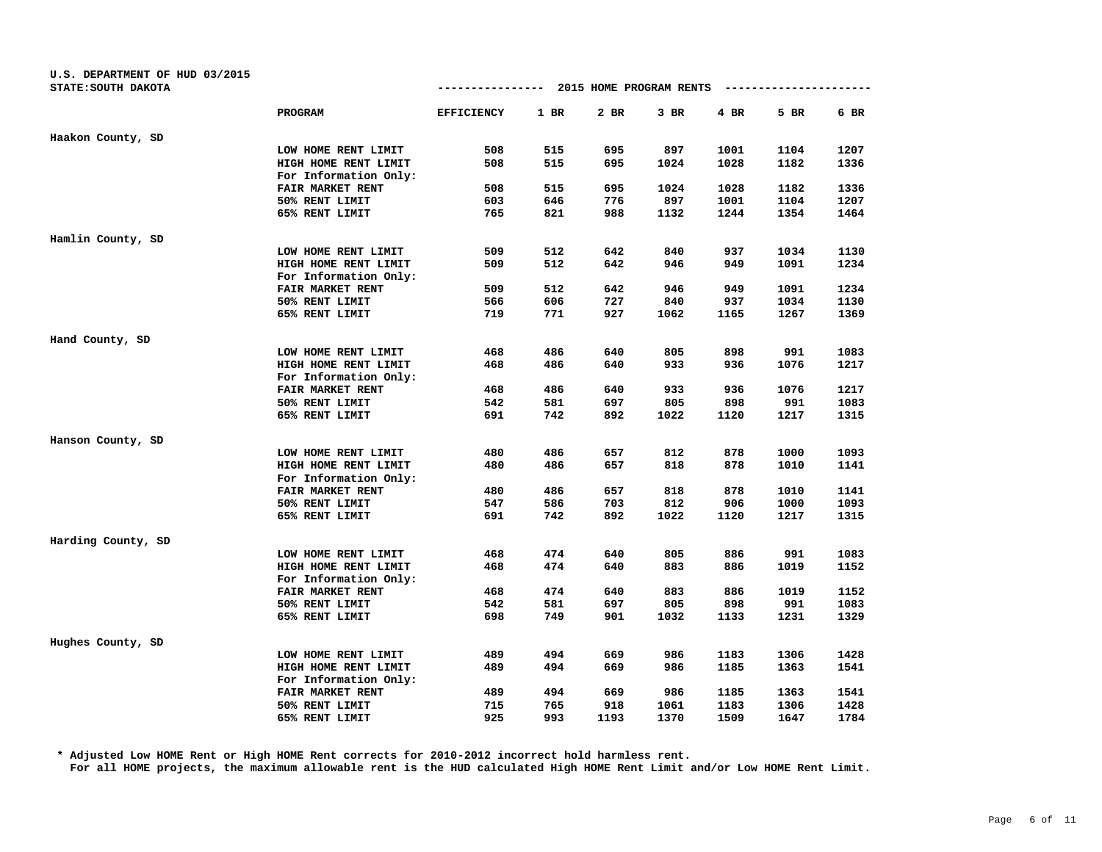| U.S. DEPARTMENT OF HUD 03/2015 |                       |                   |      |                         |        |      |                       |      |
|--------------------------------|-----------------------|-------------------|------|-------------------------|--------|------|-----------------------|------|
| STATE: SOUTH DAKOTA            |                       | ---------------   |      | 2015 HOME PROGRAM RENTS |        |      | --------------------- |      |
|                                | PROGRAM               | <b>EFFICIENCY</b> | 1 BR | 2 BR                    | $3$ BR | 4 BR | 5 BR                  | 6 BR |
| Haakon County, SD              |                       |                   |      |                         |        |      |                       |      |
|                                | LOW HOME RENT LIMIT   | 508               | 515  | 695                     | 897    | 1001 | 1104                  | 1207 |
|                                | HIGH HOME RENT LIMIT  | 508               | 515  | 695                     | 1024   | 1028 | 1182                  | 1336 |
|                                | For Information Only: |                   |      |                         |        |      |                       |      |
|                                | FAIR MARKET RENT      | 508               | 515  | 695                     | 1024   | 1028 | 1182                  | 1336 |
|                                | 50% RENT LIMIT        | 603               | 646  | 776                     | 897    | 1001 | 1104                  | 1207 |
|                                | 65% RENT LIMIT        | 765               | 821  | 988                     | 1132   | 1244 | 1354                  | 1464 |
| Hamlin County, SD              |                       |                   |      |                         |        |      |                       |      |
|                                | LOW HOME RENT LIMIT   | 509               | 512  | 642                     | 840    | 937  | 1034                  | 1130 |
|                                | HIGH HOME RENT LIMIT  | 509               | 512  | 642                     | 946    | 949  | 1091                  | 1234 |
|                                | For Information Only: |                   |      |                         |        |      |                       |      |
|                                | FAIR MARKET RENT      | 509               | 512  | 642                     | 946    | 949  | 1091                  | 1234 |
|                                | 50% RENT LIMIT        | 566               | 606  | 727                     | 840    | 937  | 1034                  | 1130 |
|                                | 65% RENT LIMIT        | 719               | 771  | 927                     | 1062   | 1165 | 1267                  | 1369 |
| Hand County, SD                |                       |                   |      |                         |        |      |                       |      |
|                                | LOW HOME RENT LIMIT   | 468               | 486  | 640                     | 805    | 898  | 991                   | 1083 |
|                                | HIGH HOME RENT LIMIT  | 468               | 486  | 640                     | 933    | 936  | 1076                  | 1217 |
|                                | For Information Only: |                   |      |                         |        |      |                       |      |
|                                | FAIR MARKET RENT      | 468               | 486  | 640                     | 933    | 936  | 1076                  | 1217 |
|                                | 50% RENT LIMIT        | 542               | 581  | 697                     | 805    | 898  | 991                   | 1083 |
|                                | 65% RENT LIMIT        | 691               | 742  | 892                     | 1022   | 1120 | 1217                  | 1315 |
| Hanson County, SD              |                       |                   |      |                         |        |      |                       |      |
|                                | LOW HOME RENT LIMIT   | 480               | 486  | 657                     | 812    | 878  | 1000                  | 1093 |
|                                | HIGH HOME RENT LIMIT  | 480               | 486  | 657                     | 818    | 878  | 1010                  | 1141 |
|                                | For Information Only: |                   |      |                         |        |      |                       |      |
|                                | FAIR MARKET RENT      | 480               | 486  | 657                     | 818    | 878  | 1010                  | 1141 |
|                                | 50% RENT LIMIT        | 547               | 586  | 703                     | 812    | 906  | 1000                  | 1093 |
|                                | 65% RENT LIMIT        | 691               | 742  | 892                     | 1022   | 1120 | 1217                  | 1315 |
| Harding County, SD             |                       |                   |      |                         |        |      |                       |      |
|                                | LOW HOME RENT LIMIT   | 468               | 474  | 640                     | 805    | 886  | 991                   | 1083 |
|                                | HIGH HOME RENT LIMIT  | 468               | 474  | 640                     | 883    | 886  | 1019                  | 1152 |
|                                | For Information Only: |                   |      |                         |        |      |                       |      |
|                                | FAIR MARKET RENT      | 468               | 474  | 640                     | 883    | 886  | 1019                  | 1152 |
|                                | 50% RENT LIMIT        | 542               | 581  | 697                     | 805    | 898  | 991                   | 1083 |
|                                | 65% RENT LIMIT        | 698               | 749  | 901                     | 1032   | 1133 | 1231                  | 1329 |
| Hughes County, SD              |                       |                   |      |                         |        |      |                       |      |
|                                | LOW HOME RENT LIMIT   | 489               | 494  | 669                     | 986    | 1183 | 1306                  | 1428 |
|                                | HIGH HOME RENT LIMIT  | 489               | 494  | 669                     | 986    | 1185 | 1363                  | 1541 |
|                                | For Information Only: |                   |      |                         |        |      |                       |      |
|                                | FAIR MARKET RENT      | 489               | 494  | 669                     | 986    | 1185 | 1363                  | 1541 |
|                                | 50% RENT LIMIT        | 715               | 765  | 918                     | 1061   | 1183 | 1306                  | 1428 |
|                                | 65% RENT LIMIT        | 925               | 993  | 1193                    | 1370   | 1509 | 1647                  | 1784 |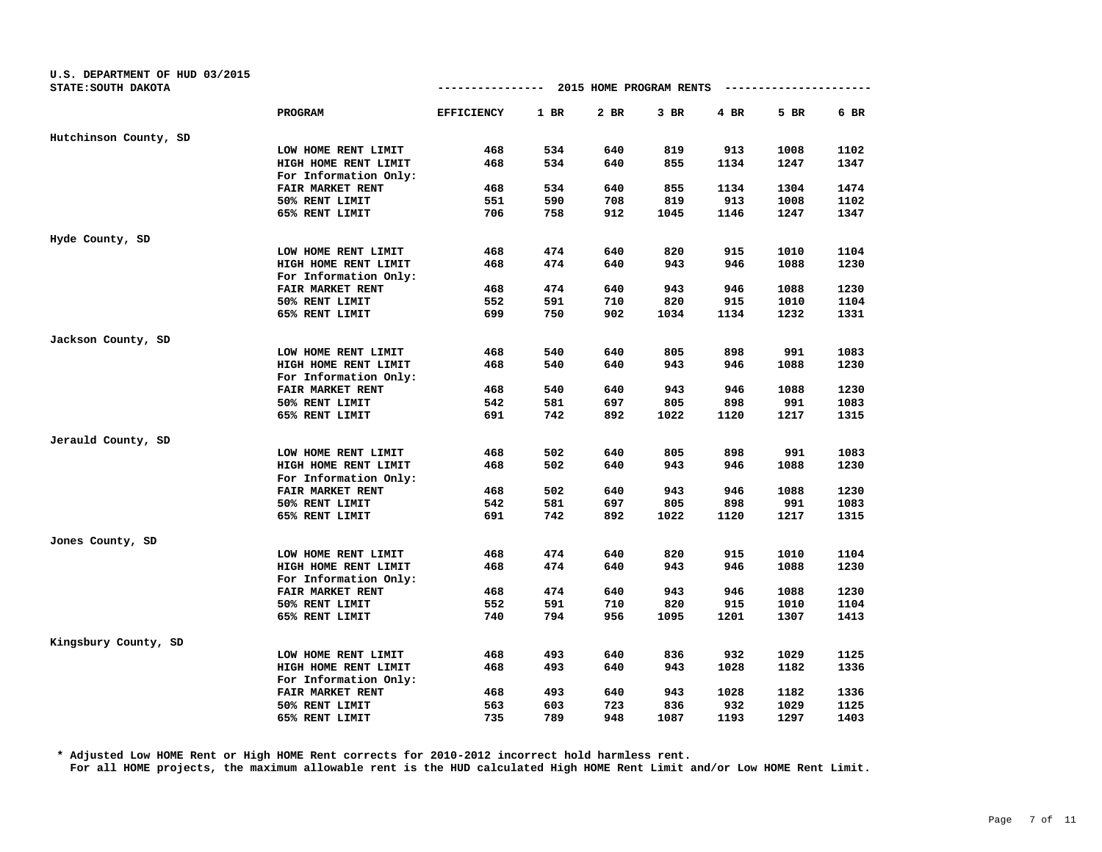| U.S. DEPARTMENT OF HUD 03/2015<br>STATE: SOUTH DAKOTA |                                               | -------------     |        | 2015 HOME PROGRAM RENTS |        |      |      |      |
|-------------------------------------------------------|-----------------------------------------------|-------------------|--------|-------------------------|--------|------|------|------|
|                                                       | <b>PROGRAM</b>                                | <b>EFFICIENCY</b> | $1$ BR | 2 BR                    | $3$ BR | 4 BR | 5 BR | 6 BR |
| Hutchinson County, SD                                 |                                               |                   |        |                         |        |      |      |      |
|                                                       | LOW HOME RENT LIMIT                           | 468               | 534    | 640                     | 819    | 913  | 1008 | 1102 |
|                                                       | HIGH HOME RENT LIMIT                          | 468               | 534    | 640                     | 855    | 1134 | 1247 | 1347 |
|                                                       | For Information Only:                         |                   |        |                         |        |      |      |      |
|                                                       | FAIR MARKET RENT                              | 468               | 534    | 640                     | 855    | 1134 | 1304 | 1474 |
|                                                       | 50% RENT LIMIT                                | 551               | 590    | 708                     | 819    | 913  | 1008 | 1102 |
|                                                       | 65% RENT LIMIT                                | 706               | 758    | 912                     | 1045   | 1146 | 1247 | 1347 |
| Hyde County, SD                                       |                                               |                   |        |                         |        |      |      |      |
|                                                       | LOW HOME RENT LIMIT                           | 468               | 474    | 640                     | 820    | 915  | 1010 | 1104 |
|                                                       | HIGH HOME RENT LIMIT                          | 468               | 474    | 640                     | 943    | 946  | 1088 | 1230 |
|                                                       | For Information Only:                         |                   |        |                         |        |      |      |      |
|                                                       | FAIR MARKET RENT                              | 468               | 474    | 640                     | 943    | 946  | 1088 | 1230 |
|                                                       | 50% RENT LIMIT                                | 552               | 591    | 710                     | 820    | 915  | 1010 | 1104 |
|                                                       | 65% RENT LIMIT                                | 699               | 750    | 902                     | 1034   | 1134 | 1232 | 1331 |
| Jackson County, SD                                    |                                               |                   |        |                         |        |      |      |      |
|                                                       | LOW HOME RENT LIMIT                           | 468               | 540    | 640                     | 805    | 898  | 991  | 1083 |
|                                                       | HIGH HOME RENT LIMIT                          | 468               | 540    | 640                     | 943    | 946  | 1088 | 1230 |
|                                                       | For Information Only:                         |                   |        |                         |        |      |      |      |
|                                                       | FAIR MARKET RENT                              | 468               | 540    | 640                     | 943    | 946  | 1088 | 1230 |
|                                                       | 50% RENT LIMIT                                | 542               | 581    | 697                     | 805    | 898  | 991  | 1083 |
|                                                       | 65% RENT LIMIT                                | 691               | 742    | 892                     | 1022   | 1120 | 1217 | 1315 |
| Jerauld County, SD                                    |                                               |                   |        |                         |        |      |      |      |
|                                                       | LOW HOME RENT LIMIT                           | 468               | 502    | 640                     | 805    | 898  | 991  | 1083 |
|                                                       | HIGH HOME RENT LIMIT<br>For Information Only: | 468               | 502    | 640                     | 943    | 946  | 1088 | 1230 |
|                                                       | FAIR MARKET RENT                              | 468               | 502    | 640                     | 943    | 946  | 1088 | 1230 |
|                                                       | 50% RENT LIMIT                                | 542               | 581    | 697                     | 805    | 898  | 991  | 1083 |
|                                                       | 65% RENT LIMIT                                | 691               | 742    | 892                     | 1022   | 1120 | 1217 | 1315 |
| Jones County, SD                                      |                                               |                   |        |                         |        |      |      |      |
|                                                       | LOW HOME RENT LIMIT                           | 468               | 474    | 640                     | 820    | 915  | 1010 | 1104 |
|                                                       | HIGH HOME RENT LIMIT                          | 468               | 474    | 640                     | 943    | 946  | 1088 | 1230 |
|                                                       | For Information Only:                         |                   |        |                         |        |      |      |      |
|                                                       | FAIR MARKET RENT                              | 468               | 474    | 640                     | 943    | 946  | 1088 | 1230 |
|                                                       | 50% RENT LIMIT                                | 552               | 591    | 710                     | 820    | 915  | 1010 | 1104 |
|                                                       | 65% RENT LIMIT                                | 740               | 794    | 956                     | 1095   | 1201 | 1307 | 1413 |
| Kingsbury County, SD                                  |                                               |                   |        |                         |        |      |      |      |
|                                                       | LOW HOME RENT LIMIT                           | 468               | 493    | 640                     | 836    | 932  | 1029 | 1125 |
|                                                       | HIGH HOME RENT LIMIT                          | 468               | 493    | 640                     | 943    | 1028 | 1182 | 1336 |
|                                                       | For Information Only:                         |                   |        |                         |        |      |      |      |
|                                                       | FAIR MARKET RENT                              | 468               | 493    | 640                     | 943    | 1028 | 1182 | 1336 |
|                                                       | 50% RENT LIMIT                                | 563               | 603    | 723                     | 836    | 932  | 1029 | 1125 |
|                                                       | 65% RENT LIMIT                                | 735               | 789    | 948                     | 1087   | 1193 | 1297 | 1403 |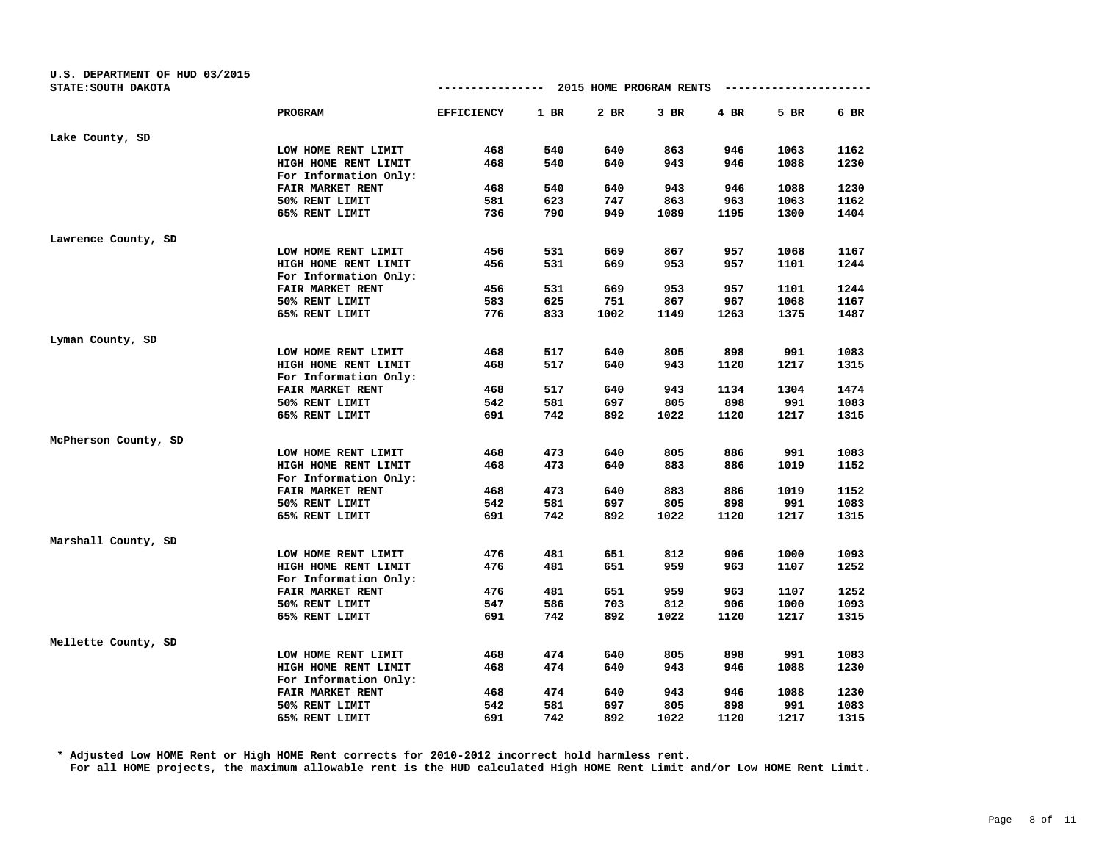| U.S. DEPARTMENT OF HUD 03/2015<br>STATE: SOUTH DAKOTA |                                               | ------------- 2015 HOME PROGRAM RENTS |        |      |        |      |      |      |
|-------------------------------------------------------|-----------------------------------------------|---------------------------------------|--------|------|--------|------|------|------|
|                                                       | PROGRAM                                       | <b>EFFICIENCY</b>                     | $1$ BR | 2 BR | $3$ BR | 4 BR | 5 BR | 6 BR |
| Lake County, SD                                       |                                               |                                       |        |      |        |      |      |      |
|                                                       | LOW HOME RENT LIMIT                           | 468                                   | 540    | 640  | 863    | 946  | 1063 | 1162 |
|                                                       | HIGH HOME RENT LIMIT                          | 468                                   | 540    | 640  | 943    | 946  | 1088 | 1230 |
|                                                       | For Information Only:                         |                                       |        |      |        |      |      |      |
|                                                       | FAIR MARKET RENT                              | 468                                   | 540    | 640  | 943    | 946  | 1088 | 1230 |
|                                                       | 50% RENT LIMIT                                | 581                                   | 623    | 747  | 863    | 963  | 1063 | 1162 |
|                                                       | 65% RENT LIMIT                                | 736                                   | 790    | 949  | 1089   | 1195 | 1300 | 1404 |
| Lawrence County, SD                                   |                                               |                                       |        |      |        |      |      |      |
|                                                       | LOW HOME RENT LIMIT                           | 456                                   | 531    | 669  | 867    | 957  | 1068 | 1167 |
|                                                       | HIGH HOME RENT LIMIT                          | 456                                   | 531    | 669  | 953    | 957  | 1101 | 1244 |
|                                                       | For Information Only:                         |                                       |        |      |        |      |      |      |
|                                                       | FAIR MARKET RENT                              | 456                                   | 531    | 669  | 953    | 957  | 1101 | 1244 |
|                                                       | 50% RENT LIMIT                                | 583                                   | 625    | 751  | 867    | 967  | 1068 | 1167 |
|                                                       | 65% RENT LIMIT                                | 776                                   | 833    | 1002 | 1149   | 1263 | 1375 | 1487 |
| Lyman County, SD                                      |                                               |                                       |        |      |        |      |      |      |
|                                                       | LOW HOME RENT LIMIT                           | 468                                   | 517    | 640  | 805    | 898  | 991  | 1083 |
|                                                       | HIGH HOME RENT LIMIT                          | 468                                   | 517    | 640  | 943    | 1120 | 1217 | 1315 |
|                                                       | For Information Only:                         |                                       |        |      |        |      |      |      |
|                                                       | FAIR MARKET RENT                              | 468                                   | 517    | 640  | 943    | 1134 | 1304 | 1474 |
|                                                       | 50% RENT LIMIT                                | 542                                   | 581    | 697  | 805    | 898  | 991  | 1083 |
|                                                       | 65% RENT LIMIT                                | 691                                   | 742    | 892  | 1022   | 1120 | 1217 | 1315 |
| McPherson County, SD                                  |                                               |                                       |        |      |        |      |      |      |
|                                                       | LOW HOME RENT LIMIT                           | 468                                   | 473    | 640  | 805    | 886  | 991  | 1083 |
|                                                       | HIGH HOME RENT LIMIT<br>For Information Only: | 468                                   | 473    | 640  | 883    | 886  | 1019 | 1152 |
|                                                       | FAIR MARKET RENT                              | 468                                   | 473    | 640  | 883    | 886  | 1019 | 1152 |
|                                                       | 50% RENT LIMIT                                | 542                                   | 581    | 697  | 805    | 898  | 991  | 1083 |
|                                                       | 65% RENT LIMIT                                | 691                                   | 742    | 892  | 1022   | 1120 | 1217 | 1315 |
| Marshall County, SD                                   |                                               |                                       |        |      |        |      |      |      |
|                                                       | LOW HOME RENT LIMIT                           | 476                                   | 481    | 651  | 812    | 906  | 1000 | 1093 |
|                                                       | HIGH HOME RENT LIMIT                          | 476                                   | 481    | 651  | 959    | 963  | 1107 | 1252 |
|                                                       | For Information Only:                         |                                       |        |      |        |      |      |      |
|                                                       | FAIR MARKET RENT                              | 476                                   | 481    | 651  | 959    | 963  | 1107 | 1252 |
|                                                       | 50% RENT LIMIT                                | 547                                   | 586    | 703  | 812    | 906  | 1000 | 1093 |
|                                                       | 65% RENT LIMIT                                | 691                                   | 742    | 892  | 1022   | 1120 | 1217 | 1315 |
| Mellette County, SD                                   |                                               |                                       |        |      |        |      |      |      |
|                                                       | LOW HOME RENT LIMIT                           | 468                                   | 474    | 640  | 805    | 898  | 991  | 1083 |
|                                                       | HIGH HOME RENT LIMIT                          | 468                                   | 474    | 640  | 943    | 946  | 1088 | 1230 |
|                                                       | For Information Only:                         |                                       |        |      |        |      |      |      |
|                                                       | FAIR MARKET RENT                              | 468                                   | 474    | 640  | 943    | 946  | 1088 | 1230 |
|                                                       | 50% RENT LIMIT                                | 542                                   | 581    | 697  | 805    | 898  | 991  | 1083 |
|                                                       | 65% RENT LIMIT                                | 691                                   | 742    | 892  | 1022   | 1120 | 1217 | 1315 |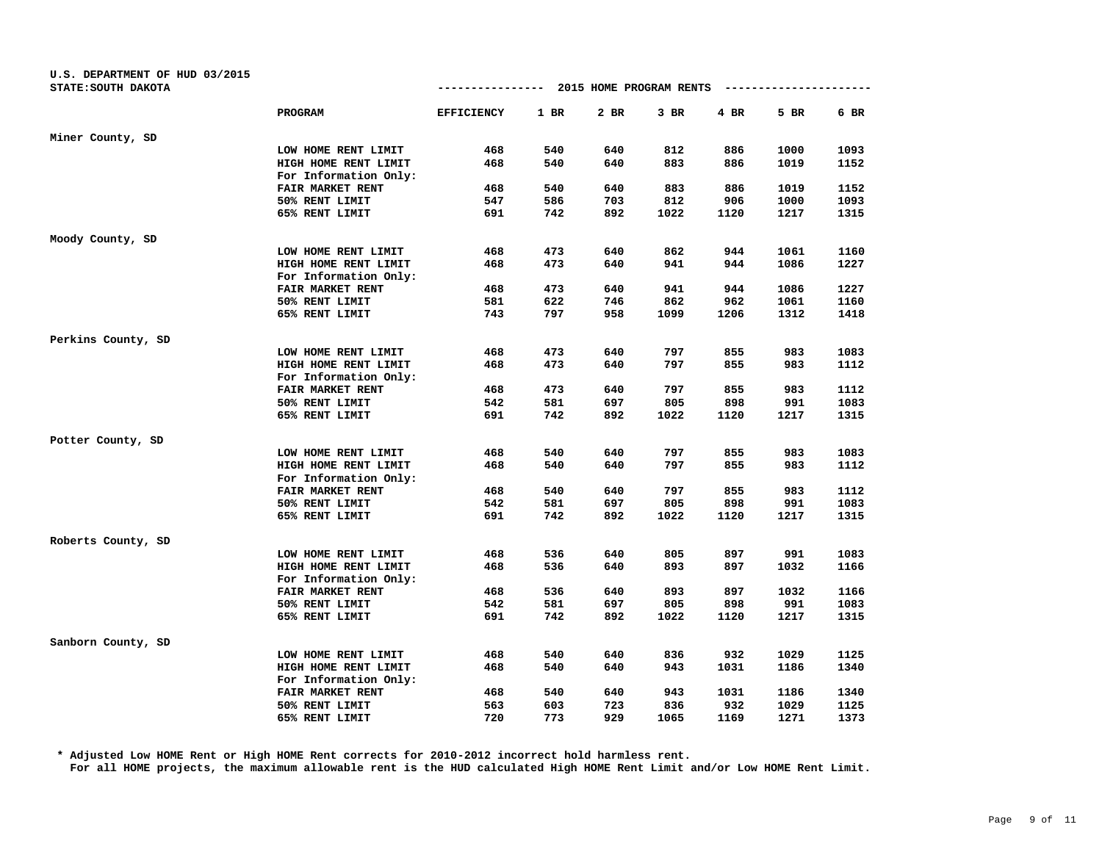| U.S. DEPARTMENT OF HUD 03/2015<br>STATE: SOUTH DAKOTA |                       | ------------- 2015 HOME PROGRAM RENTS |        |      |        |      |      |      |
|-------------------------------------------------------|-----------------------|---------------------------------------|--------|------|--------|------|------|------|
|                                                       | PROGRAM               | <b>EFFICIENCY</b>                     | $1$ BR | 2 BR | $3$ BR | 4 BR | 5 BR | 6 BR |
| Miner County, SD                                      |                       |                                       |        |      |        |      |      |      |
|                                                       | LOW HOME RENT LIMIT   | 468                                   | 540    | 640  | 812    | 886  | 1000 | 1093 |
|                                                       | HIGH HOME RENT LIMIT  | 468                                   | 540    | 640  | 883    | 886  | 1019 | 1152 |
|                                                       | For Information Only: |                                       |        |      |        |      |      |      |
|                                                       | FAIR MARKET RENT      | 468                                   | 540    | 640  | 883    | 886  | 1019 | 1152 |
|                                                       | 50% RENT LIMIT        | 547                                   | 586    | 703  | 812    | 906  | 1000 | 1093 |
|                                                       | 65% RENT LIMIT        | 691                                   | 742    | 892  | 1022   | 1120 | 1217 | 1315 |
| Moody County, SD                                      |                       |                                       |        |      |        |      |      |      |
|                                                       | LOW HOME RENT LIMIT   | 468                                   | 473    | 640  | 862    | 944  | 1061 | 1160 |
|                                                       | HIGH HOME RENT LIMIT  | 468                                   | 473    | 640  | 941    | 944  | 1086 | 1227 |
|                                                       | For Information Only: |                                       |        |      |        |      |      |      |
|                                                       | FAIR MARKET RENT      | 468                                   | 473    | 640  | 941    | 944  | 1086 | 1227 |
|                                                       | 50% RENT LIMIT        | 581                                   | 622    | 746  | 862    | 962  | 1061 | 1160 |
|                                                       | 65% RENT LIMIT        | 743                                   | 797    | 958  | 1099   | 1206 | 1312 | 1418 |
| Perkins County, SD                                    |                       |                                       |        |      |        |      |      |      |
|                                                       | LOW HOME RENT LIMIT   | 468                                   | 473    | 640  | 797    | 855  | 983  | 1083 |
|                                                       | HIGH HOME RENT LIMIT  | 468                                   | 473    | 640  | 797    | 855  | 983  | 1112 |
|                                                       | For Information Only: |                                       |        |      |        |      |      |      |
|                                                       | FAIR MARKET RENT      | 468                                   | 473    | 640  | 797    | 855  | 983  | 1112 |
|                                                       | 50% RENT LIMIT        | 542                                   | 581    | 697  | 805    | 898  | 991  | 1083 |
|                                                       | 65% RENT LIMIT        | 691                                   | 742    | 892  | 1022   | 1120 | 1217 | 1315 |
| Potter County, SD                                     |                       |                                       |        |      |        |      |      |      |
|                                                       | LOW HOME RENT LIMIT   | 468                                   | 540    | 640  | 797    | 855  | 983  | 1083 |
|                                                       | HIGH HOME RENT LIMIT  | 468                                   | 540    | 640  | 797    | 855  | 983  | 1112 |
|                                                       | For Information Only: |                                       |        |      |        |      |      |      |
|                                                       | FAIR MARKET RENT      | 468                                   | 540    | 640  | 797    | 855  | 983  | 1112 |
|                                                       | 50% RENT LIMIT        | 542                                   | 581    | 697  | 805    | 898  | 991  | 1083 |
|                                                       | 65% RENT LIMIT        | 691                                   | 742    | 892  | 1022   | 1120 | 1217 | 1315 |
| Roberts County, SD                                    |                       |                                       |        |      |        |      |      |      |
|                                                       | LOW HOME RENT LIMIT   | 468                                   | 536    | 640  | 805    | 897  | 991  | 1083 |
|                                                       | HIGH HOME RENT LIMIT  | 468                                   | 536    | 640  | 893    | 897  | 1032 | 1166 |
|                                                       | For Information Only: |                                       |        |      |        |      |      |      |
|                                                       | FAIR MARKET RENT      | 468                                   | 536    | 640  | 893    | 897  | 1032 | 1166 |
|                                                       | 50% RENT LIMIT        | 542                                   | 581    | 697  | 805    | 898  | 991  | 1083 |
|                                                       | 65% RENT LIMIT        | 691                                   | 742    | 892  | 1022   | 1120 | 1217 | 1315 |
| Sanborn County, SD                                    |                       |                                       |        |      |        |      |      |      |
|                                                       | LOW HOME RENT LIMIT   | 468                                   | 540    | 640  | 836    | 932  | 1029 | 1125 |
|                                                       | HIGH HOME RENT LIMIT  | 468                                   | 540    | 640  | 943    | 1031 | 1186 | 1340 |
|                                                       | For Information Only: |                                       |        |      |        |      |      |      |
|                                                       | FAIR MARKET RENT      | 468                                   | 540    | 640  | 943    | 1031 | 1186 | 1340 |
|                                                       | 50% RENT LIMIT        | 563                                   | 603    | 723  | 836    | 932  | 1029 | 1125 |
|                                                       | 65% RENT LIMIT        | 720                                   | 773    | 929  | 1065   | 1169 | 1271 | 1373 |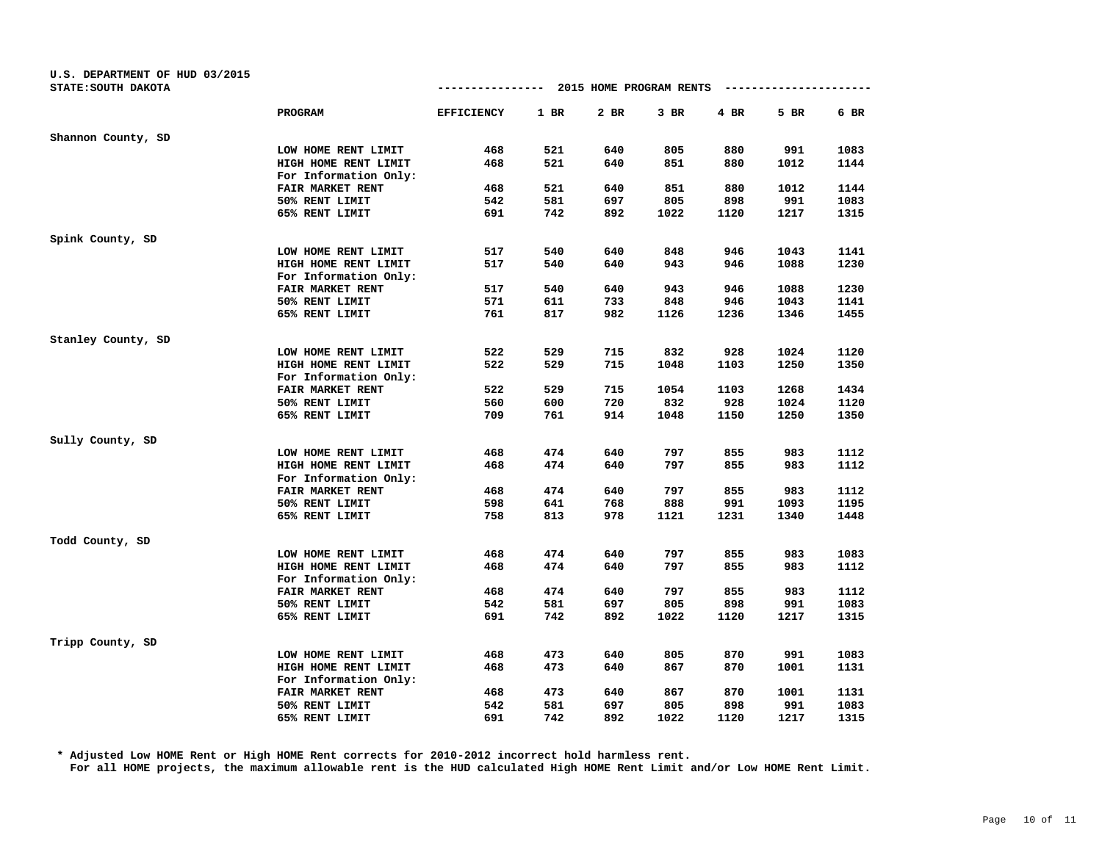| U.S. DEPARTMENT OF HUD 03/2015<br>STATE: SOUTH DAKOTA |                                               | -------------     |        | 2015 HOME PROGRAM RENTS |        |      |      |      |
|-------------------------------------------------------|-----------------------------------------------|-------------------|--------|-------------------------|--------|------|------|------|
|                                                       | <b>PROGRAM</b>                                | <b>EFFICIENCY</b> | $1$ BR | 2 BR                    | $3$ BR | 4 BR | 5 BR | 6 BR |
| Shannon County, SD                                    |                                               |                   |        |                         |        |      |      |      |
|                                                       | LOW HOME RENT LIMIT                           | 468               | 521    | 640                     | 805    | 880  | 991  | 1083 |
|                                                       | HIGH HOME RENT LIMIT                          | 468               | 521    | 640                     | 851    | 880  | 1012 | 1144 |
|                                                       | For Information Only:                         |                   |        |                         |        |      |      |      |
|                                                       | FAIR MARKET RENT                              | 468               | 521    | 640                     | 851    | 880  | 1012 | 1144 |
|                                                       | 50% RENT LIMIT                                | 542               | 581    | 697                     | 805    | 898  | 991  | 1083 |
|                                                       | 65% RENT LIMIT                                | 691               | 742    | 892                     | 1022   | 1120 | 1217 | 1315 |
| Spink County, SD                                      |                                               |                   |        |                         |        |      |      |      |
|                                                       | LOW HOME RENT LIMIT                           | 517               | 540    | 640                     | 848    | 946  | 1043 | 1141 |
|                                                       | HIGH HOME RENT LIMIT                          | 517               | 540    | 640                     | 943    | 946  | 1088 | 1230 |
|                                                       | For Information Only:                         |                   |        |                         |        |      |      |      |
|                                                       | FAIR MARKET RENT                              | 517               | 540    | 640                     | 943    | 946  | 1088 | 1230 |
|                                                       | 50% RENT LIMIT                                | 571               | 611    | 733                     | 848    | 946  | 1043 | 1141 |
|                                                       | 65% RENT LIMIT                                | 761               | 817    | 982                     | 1126   | 1236 | 1346 | 1455 |
| Stanley County, SD                                    |                                               |                   |        |                         |        |      |      |      |
|                                                       | LOW HOME RENT LIMIT                           | 522               | 529    | 715                     | 832    | 928  | 1024 | 1120 |
|                                                       | HIGH HOME RENT LIMIT                          | 522               | 529    | 715                     | 1048   | 1103 | 1250 | 1350 |
|                                                       | For Information Only:                         |                   |        |                         |        |      |      |      |
|                                                       | FAIR MARKET RENT                              | 522               | 529    | 715                     | 1054   | 1103 | 1268 | 1434 |
|                                                       | 50% RENT LIMIT                                | 560               | 600    | 720                     | 832    | 928  | 1024 | 1120 |
|                                                       | 65% RENT LIMIT                                | 709               | 761    | 914                     | 1048   | 1150 | 1250 | 1350 |
| Sully County, SD                                      |                                               |                   |        |                         |        |      |      |      |
|                                                       | LOW HOME RENT LIMIT                           | 468               | 474    | 640                     | 797    | 855  | 983  | 1112 |
|                                                       | HIGH HOME RENT LIMIT<br>For Information Only: | 468               | 474    | 640                     | 797    | 855  | 983  | 1112 |
|                                                       | FAIR MARKET RENT                              | 468               | 474    | 640                     | 797    | 855  | 983  | 1112 |
|                                                       | 50% RENT LIMIT                                | 598               | 641    | 768                     | 888    | 991  | 1093 | 1195 |
|                                                       | 65% RENT LIMIT                                | 758               | 813    | 978                     | 1121   | 1231 | 1340 | 1448 |
| Todd County, SD                                       |                                               |                   |        |                         |        |      |      |      |
|                                                       | LOW HOME RENT LIMIT                           | 468               | 474    | 640                     | 797    | 855  | 983  | 1083 |
|                                                       | HIGH HOME RENT LIMIT                          | 468               | 474    | 640                     | 797    | 855  | 983  | 1112 |
|                                                       | For Information Only:                         |                   |        |                         |        |      |      |      |
|                                                       | FAIR MARKET RENT                              | 468               | 474    | 640                     | 797    | 855  | 983  | 1112 |
|                                                       | 50% RENT LIMIT                                | 542               | 581    | 697                     | 805    | 898  | 991  | 1083 |
|                                                       | 65% RENT LIMIT                                | 691               | 742    | 892                     | 1022   | 1120 | 1217 | 1315 |
| Tripp County, SD                                      |                                               |                   |        |                         |        |      |      |      |
|                                                       | LOW HOME RENT LIMIT                           | 468               | 473    | 640                     | 805    | 870  | 991  | 1083 |
|                                                       | HIGH HOME RENT LIMIT                          | 468               | 473    | 640                     | 867    | 870  | 1001 | 1131 |
|                                                       | For Information Only:                         |                   |        |                         |        |      |      |      |
|                                                       | FAIR MARKET RENT                              | 468               | 473    | 640                     | 867    | 870  | 1001 | 1131 |
|                                                       | 50% RENT LIMIT                                | 542               | 581    | 697                     | 805    | 898  | 991  | 1083 |
|                                                       | 65% RENT LIMIT                                | 691               | 742    | 892                     | 1022   | 1120 | 1217 | 1315 |